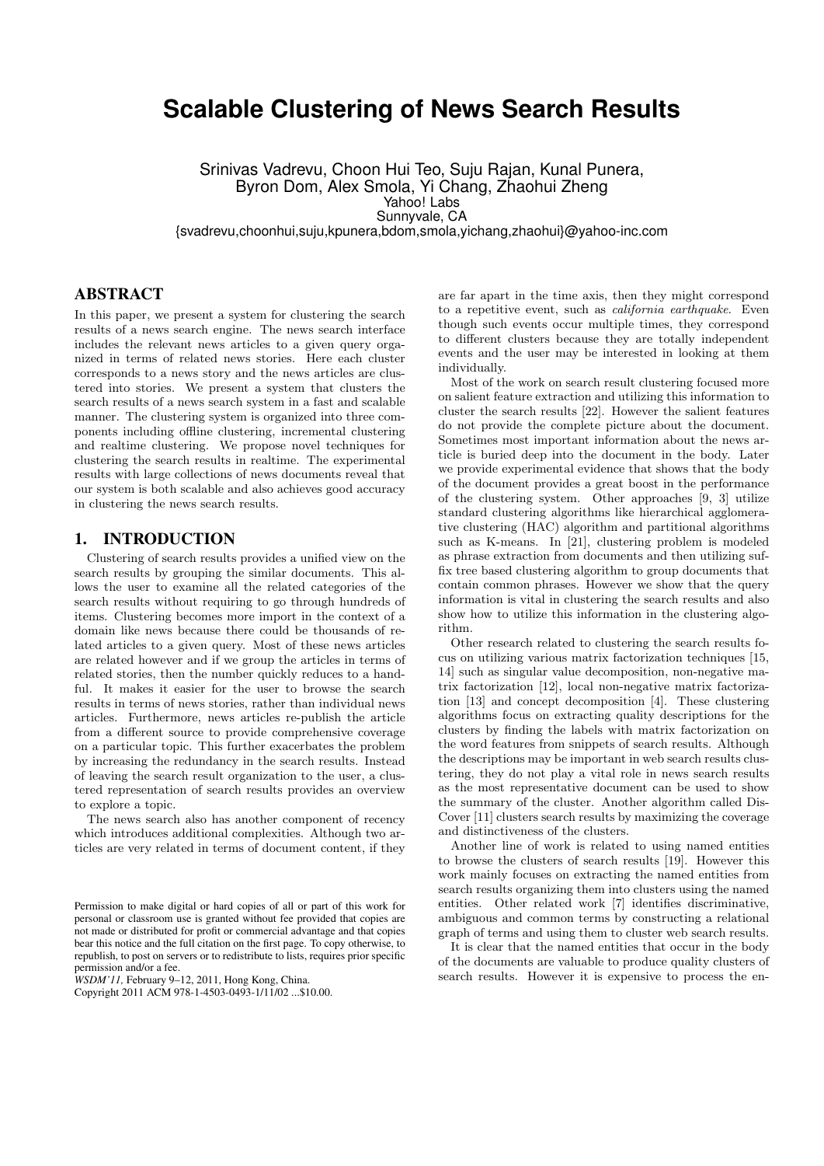# **Scalable Clustering of News Search Results**

Srinivas Vadrevu, Choon Hui Teo, Suju Rajan, Kunal Punera, Byron Dom, Alex Smola, Yi Chang, Zhaohui Zheng Yahoo! Labs Sunnyvale, CA {svadrevu,choonhui,suju,kpunera,bdom,smola,yichang,zhaohui}@yahoo-inc.com

## ABSTRACT

In this paper, we present a system for clustering the search results of a news search engine. The news search interface includes the relevant news articles to a given query organized in terms of related news stories. Here each cluster corresponds to a news story and the news articles are clustered into stories. We present a system that clusters the search results of a news search system in a fast and scalable manner. The clustering system is organized into three components including offline clustering, incremental clustering and realtime clustering. We propose novel techniques for clustering the search results in realtime. The experimental results with large collections of news documents reveal that our system is both scalable and also achieves good accuracy in clustering the news search results.

#### 1. INTRODUCTION

Clustering of search results provides a unified view on the search results by grouping the similar documents. This allows the user to examine all the related categories of the search results without requiring to go through hundreds of items. Clustering becomes more import in the context of a domain like news because there could be thousands of related articles to a given query. Most of these news articles are related however and if we group the articles in terms of related stories, then the number quickly reduces to a handful. It makes it easier for the user to browse the search results in terms of news stories, rather than individual news articles. Furthermore, news articles re-publish the article from a different source to provide comprehensive coverage on a particular topic. This further exacerbates the problem by increasing the redundancy in the search results. Instead of leaving the search result organization to the user, a clustered representation of search results provides an overview to explore a topic.

The news search also has another component of recency which introduces additional complexities. Although two articles are very related in terms of document content, if they

*WSDM'11,* February 9–12, 2011, Hong Kong, China.

Copyright 2011 ACM 978-1-4503-0493-1/11/02 ...\$10.00.

are far apart in the time axis, then they might correspond to a repetitive event, such as california earthquake. Even though such events occur multiple times, they correspond to different clusters because they are totally independent events and the user may be interested in looking at them individually.

Most of the work on search result clustering focused more on salient feature extraction and utilizing this information to cluster the search results [22]. However the salient features do not provide the complete picture about the document. Sometimes most important information about the news article is buried deep into the document in the body. Later we provide experimental evidence that shows that the body of the document provides a great boost in the performance of the clustering system. Other approaches [9, 3] utilize standard clustering algorithms like hierarchical agglomerative clustering (HAC) algorithm and partitional algorithms such as K-means. In [21], clustering problem is modeled as phrase extraction from documents and then utilizing suffix tree based clustering algorithm to group documents that contain common phrases. However we show that the query information is vital in clustering the search results and also show how to utilize this information in the clustering algorithm.

Other research related to clustering the search results focus on utilizing various matrix factorization techniques [15, 14] such as singular value decomposition, non-negative matrix factorization [12], local non-negative matrix factorization [13] and concept decomposition [4]. These clustering algorithms focus on extracting quality descriptions for the clusters by finding the labels with matrix factorization on the word features from snippets of search results. Although the descriptions may be important in web search results clustering, they do not play a vital role in news search results as the most representative document can be used to show the summary of the cluster. Another algorithm called Dis-Cover [11] clusters search results by maximizing the coverage and distinctiveness of the clusters.

Another line of work is related to using named entities to browse the clusters of search results [19]. However this work mainly focuses on extracting the named entities from search results organizing them into clusters using the named entities. Other related work [7] identifies discriminative, ambiguous and common terms by constructing a relational graph of terms and using them to cluster web search results.

It is clear that the named entities that occur in the body of the documents are valuable to produce quality clusters of search results. However it is expensive to process the en-

Permission to make digital or hard copies of all or part of this work for personal or classroom use is granted without fee provided that copies are not made or distributed for profit or commercial advantage and that copies bear this notice and the full citation on the first page. To copy otherwise, to republish, to post on servers or to redistribute to lists, requires prior specific permission and/or a fee.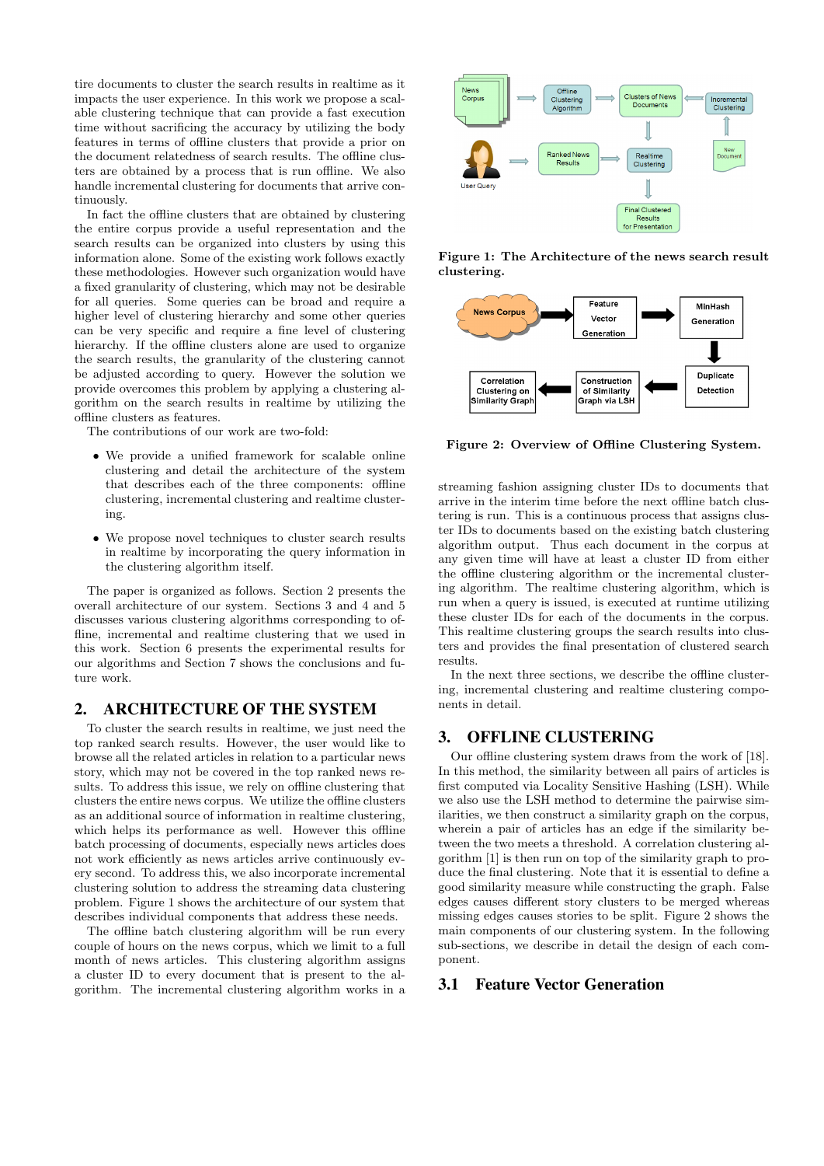tire documents to cluster the search results in realtime as it impacts the user experience. In this work we propose a scalable clustering technique that can provide a fast execution time without sacrificing the accuracy by utilizing the body features in terms of offline clusters that provide a prior on the document relatedness of search results. The offline clusters are obtained by a process that is run offline. We also handle incremental clustering for documents that arrive continuously.

In fact the offline clusters that are obtained by clustering the entire corpus provide a useful representation and the search results can be organized into clusters by using this information alone. Some of the existing work follows exactly these methodologies. However such organization would have a fixed granularity of clustering, which may not be desirable for all queries. Some queries can be broad and require a higher level of clustering hierarchy and some other queries can be very specific and require a fine level of clustering hierarchy. If the offline clusters alone are used to organize the search results, the granularity of the clustering cannot be adjusted according to query. However the solution we provide overcomes this problem by applying a clustering algorithm on the search results in realtime by utilizing the offline clusters as features.

The contributions of our work are two-fold:

- We provide a unified framework for scalable online clustering and detail the architecture of the system that describes each of the three components: offline clustering, incremental clustering and realtime clustering.
- We propose novel techniques to cluster search results in realtime by incorporating the query information in the clustering algorithm itself.

The paper is organized as follows. Section 2 presents the overall architecture of our system. Sections 3 and 4 and 5 discusses various clustering algorithms corresponding to offline, incremental and realtime clustering that we used in this work. Section 6 presents the experimental results for our algorithms and Section 7 shows the conclusions and future work.

## 2. ARCHITECTURE OF THE SYSTEM

To cluster the search results in realtime, we just need the top ranked search results. However, the user would like to browse all the related articles in relation to a particular news story, which may not be covered in the top ranked news results. To address this issue, we rely on offline clustering that clusters the entire news corpus. We utilize the offline clusters as an additional source of information in realtime clustering, which helps its performance as well. However this offline batch processing of documents, especially news articles does not work efficiently as news articles arrive continuously every second. To address this, we also incorporate incremental clustering solution to address the streaming data clustering problem. Figure 1 shows the architecture of our system that describes individual components that address these needs.

The offline batch clustering algorithm will be run every couple of hours on the news corpus, which we limit to a full month of news articles. This clustering algorithm assigns a cluster ID to every document that is present to the algorithm. The incremental clustering algorithm works in a



Figure 1: The Architecture of the news search result clustering.



Figure 2: Overview of Offline Clustering System.

streaming fashion assigning cluster IDs to documents that arrive in the interim time before the next offline batch clustering is run. This is a continuous process that assigns cluster IDs to documents based on the existing batch clustering algorithm output. Thus each document in the corpus at any given time will have at least a cluster ID from either the offline clustering algorithm or the incremental clustering algorithm. The realtime clustering algorithm, which is run when a query is issued, is executed at runtime utilizing these cluster IDs for each of the documents in the corpus. This realtime clustering groups the search results into clusters and provides the final presentation of clustered search results.

In the next three sections, we describe the offline clustering, incremental clustering and realtime clustering components in detail.

### 3. OFFLINE CLUSTERING

Our offline clustering system draws from the work of [18]. In this method, the similarity between all pairs of articles is first computed via Locality Sensitive Hashing (LSH). While we also use the LSH method to determine the pairwise similarities, we then construct a similarity graph on the corpus, wherein a pair of articles has an edge if the similarity between the two meets a threshold. A correlation clustering algorithm [1] is then run on top of the similarity graph to produce the final clustering. Note that it is essential to define a good similarity measure while constructing the graph. False edges causes different story clusters to be merged whereas missing edges causes stories to be split. Figure 2 shows the main components of our clustering system. In the following sub-sections, we describe in detail the design of each component.

### 3.1 Feature Vector Generation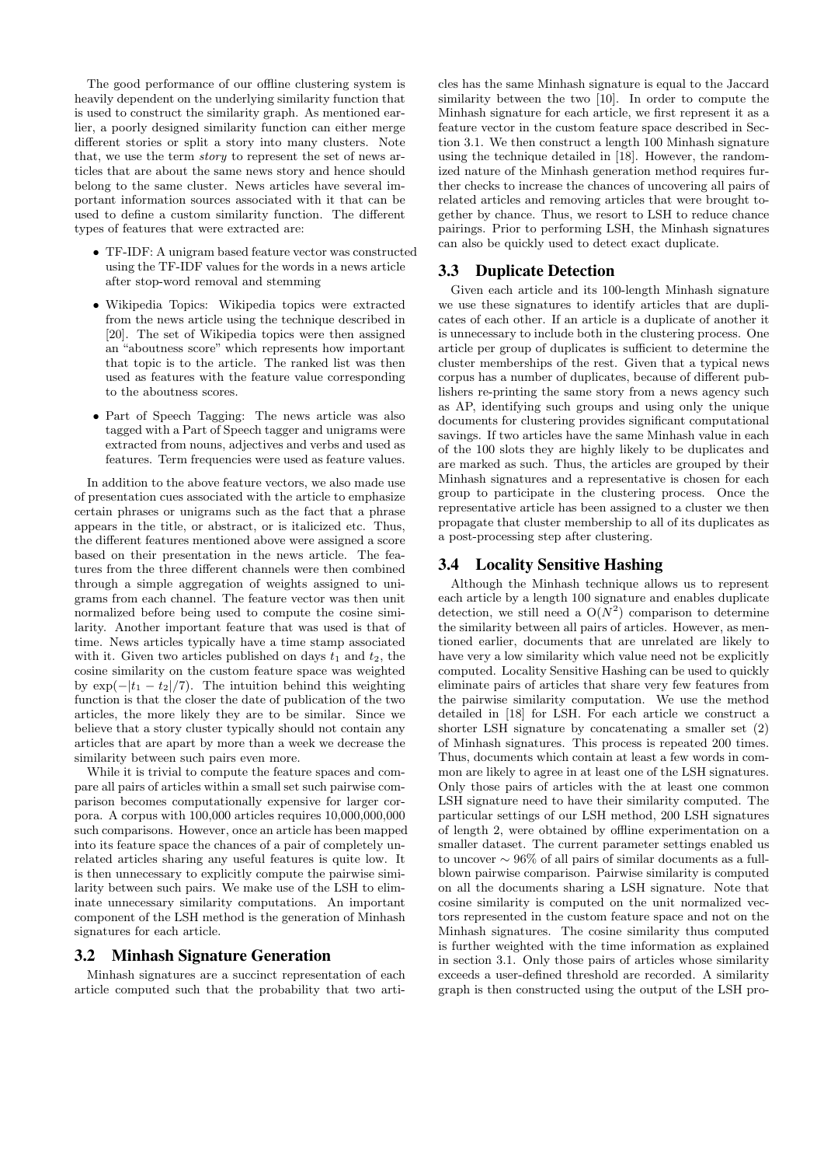The good performance of our offline clustering system is heavily dependent on the underlying similarity function that is used to construct the similarity graph. As mentioned earlier, a poorly designed similarity function can either merge different stories or split a story into many clusters. Note that, we use the term story to represent the set of news articles that are about the same news story and hence should belong to the same cluster. News articles have several important information sources associated with it that can be used to define a custom similarity function. The different types of features that were extracted are:

- TF-IDF: A unigram based feature vector was constructed using the TF-IDF values for the words in a news article after stop-word removal and stemming
- Wikipedia Topics: Wikipedia topics were extracted from the news article using the technique described in [20]. The set of Wikipedia topics were then assigned an "aboutness score" which represents how important that topic is to the article. The ranked list was then used as features with the feature value corresponding to the aboutness scores.
- Part of Speech Tagging: The news article was also tagged with a Part of Speech tagger and unigrams were extracted from nouns, adjectives and verbs and used as features. Term frequencies were used as feature values.

In addition to the above feature vectors, we also made use of presentation cues associated with the article to emphasize certain phrases or unigrams such as the fact that a phrase appears in the title, or abstract, or is italicized etc. Thus, the different features mentioned above were assigned a score based on their presentation in the news article. The features from the three different channels were then combined through a simple aggregation of weights assigned to unigrams from each channel. The feature vector was then unit normalized before being used to compute the cosine similarity. Another important feature that was used is that of time. News articles typically have a time stamp associated with it. Given two articles published on days  $t_1$  and  $t_2$ , the cosine similarity on the custom feature space was weighted by  $\exp(-|t_1 - t_2|/7)$ . The intuition behind this weighting function is that the closer the date of publication of the two articles, the more likely they are to be similar. Since we believe that a story cluster typically should not contain any articles that are apart by more than a week we decrease the similarity between such pairs even more.

While it is trivial to compute the feature spaces and compare all pairs of articles within a small set such pairwise comparison becomes computationally expensive for larger corpora. A corpus with 100,000 articles requires 10,000,000,000 such comparisons. However, once an article has been mapped into its feature space the chances of a pair of completely unrelated articles sharing any useful features is quite low. It is then unnecessary to explicitly compute the pairwise similarity between such pairs. We make use of the LSH to eliminate unnecessary similarity computations. An important component of the LSH method is the generation of Minhash signatures for each article.

### 3.2 Minhash Signature Generation

Minhash signatures are a succinct representation of each article computed such that the probability that two articles has the same Minhash signature is equal to the Jaccard similarity between the two [10]. In order to compute the Minhash signature for each article, we first represent it as a feature vector in the custom feature space described in Section 3.1. We then construct a length 100 Minhash signature using the technique detailed in [18]. However, the randomized nature of the Minhash generation method requires further checks to increase the chances of uncovering all pairs of related articles and removing articles that were brought together by chance. Thus, we resort to LSH to reduce chance pairings. Prior to performing LSH, the Minhash signatures can also be quickly used to detect exact duplicate.

## 3.3 Duplicate Detection

Given each article and its 100-length Minhash signature we use these signatures to identify articles that are duplicates of each other. If an article is a duplicate of another it is unnecessary to include both in the clustering process. One article per group of duplicates is sufficient to determine the cluster memberships of the rest. Given that a typical news corpus has a number of duplicates, because of different publishers re-printing the same story from a news agency such as AP, identifying such groups and using only the unique documents for clustering provides significant computational savings. If two articles have the same Minhash value in each of the 100 slots they are highly likely to be duplicates and are marked as such. Thus, the articles are grouped by their Minhash signatures and a representative is chosen for each group to participate in the clustering process. Once the representative article has been assigned to a cluster we then propagate that cluster membership to all of its duplicates as a post-processing step after clustering.

#### 3.4 Locality Sensitive Hashing

Although the Minhash technique allows us to represent each article by a length 100 signature and enables duplicate detection, we still need a  $O(N^2)$  comparison to determine the similarity between all pairs of articles. However, as mentioned earlier, documents that are unrelated are likely to have very a low similarity which value need not be explicitly computed. Locality Sensitive Hashing can be used to quickly eliminate pairs of articles that share very few features from the pairwise similarity computation. We use the method detailed in [18] for LSH. For each article we construct a shorter LSH signature by concatenating a smaller set (2) of Minhash signatures. This process is repeated 200 times. Thus, documents which contain at least a few words in common are likely to agree in at least one of the LSH signatures. Only those pairs of articles with the at least one common LSH signature need to have their similarity computed. The particular settings of our LSH method, 200 LSH signatures of length 2, were obtained by offline experimentation on a smaller dataset. The current parameter settings enabled us to uncover ∼ 96% of all pairs of similar documents as a fullblown pairwise comparison. Pairwise similarity is computed on all the documents sharing a LSH signature. Note that cosine similarity is computed on the unit normalized vectors represented in the custom feature space and not on the Minhash signatures. The cosine similarity thus computed is further weighted with the time information as explained in section 3.1. Only those pairs of articles whose similarity exceeds a user-defined threshold are recorded. A similarity graph is then constructed using the output of the LSH pro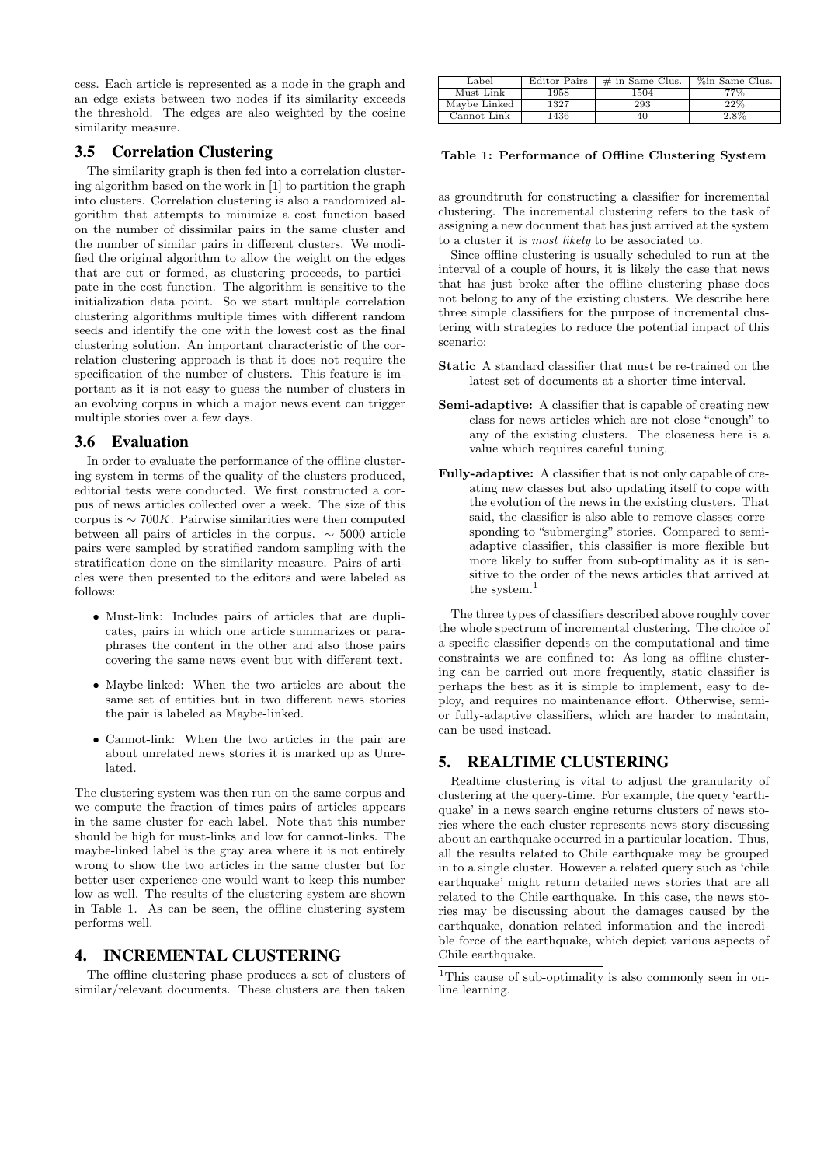cess. Each article is represented as a node in the graph and an edge exists between two nodes if its similarity exceeds the threshold. The edges are also weighted by the cosine similarity measure.

### 3.5 Correlation Clustering

The similarity graph is then fed into a correlation clustering algorithm based on the work in [1] to partition the graph into clusters. Correlation clustering is also a randomized algorithm that attempts to minimize a cost function based on the number of dissimilar pairs in the same cluster and the number of similar pairs in different clusters. We modified the original algorithm to allow the weight on the edges that are cut or formed, as clustering proceeds, to participate in the cost function. The algorithm is sensitive to the initialization data point. So we start multiple correlation clustering algorithms multiple times with different random seeds and identify the one with the lowest cost as the final clustering solution. An important characteristic of the correlation clustering approach is that it does not require the specification of the number of clusters. This feature is important as it is not easy to guess the number of clusters in an evolving corpus in which a major news event can trigger multiple stories over a few days.

### 3.6 Evaluation

In order to evaluate the performance of the offline clustering system in terms of the quality of the clusters produced, editorial tests were conducted. We first constructed a corpus of news articles collected over a week. The size of this corpus is  $\sim 700K$ . Pairwise similarities were then computed between all pairs of articles in the corpus. ∼ 5000 article pairs were sampled by stratified random sampling with the stratification done on the similarity measure. Pairs of articles were then presented to the editors and were labeled as follows:

- Must-link: Includes pairs of articles that are duplicates, pairs in which one article summarizes or paraphrases the content in the other and also those pairs covering the same news event but with different text.
- Maybe-linked: When the two articles are about the same set of entities but in two different news stories the pair is labeled as Maybe-linked.
- Cannot-link: When the two articles in the pair are about unrelated news stories it is marked up as Unrelated.

The clustering system was then run on the same corpus and we compute the fraction of times pairs of articles appears in the same cluster for each label. Note that this number should be high for must-links and low for cannot-links. The maybe-linked label is the gray area where it is not entirely wrong to show the two articles in the same cluster but for better user experience one would want to keep this number low as well. The results of the clustering system are shown in Table 1. As can be seen, the offline clustering system performs well.

### 4. INCREMENTAL CLUSTERING

The offline clustering phase produces a set of clusters of similar/relevant documents. These clusters are then taken

| Label        | Editor Pairs | $#$ in Same Clus. | %in Same Clus. |
|--------------|--------------|-------------------|----------------|
| Must Link    | 1958         | 1504              | -7%            |
| Maybe Linked | 1327         | 293               | 22%            |
| Cannot Link  | .436         | 40                | 2.8%           |

Table 1: Performance of Offline Clustering System

as groundtruth for constructing a classifier for incremental clustering. The incremental clustering refers to the task of assigning a new document that has just arrived at the system to a cluster it is most likely to be associated to.

Since offline clustering is usually scheduled to run at the interval of a couple of hours, it is likely the case that news that has just broke after the offline clustering phase does not belong to any of the existing clusters. We describe here three simple classifiers for the purpose of incremental clustering with strategies to reduce the potential impact of this scenario:

- Static A standard classifier that must be re-trained on the latest set of documents at a shorter time interval.
- Semi-adaptive: A classifier that is capable of creating new class for news articles which are not close "enough" to any of the existing clusters. The closeness here is a value which requires careful tuning.
- Fully-adaptive: A classifier that is not only capable of creating new classes but also updating itself to cope with the evolution of the news in the existing clusters. That said, the classifier is also able to remove classes corresponding to "submerging" stories. Compared to semiadaptive classifier, this classifier is more flexible but more likely to suffer from sub-optimality as it is sensitive to the order of the news articles that arrived at the system.<sup>1</sup>

The three types of classifiers described above roughly cover the whole spectrum of incremental clustering. The choice of a specific classifier depends on the computational and time constraints we are confined to: As long as offline clustering can be carried out more frequently, static classifier is perhaps the best as it is simple to implement, easy to deploy, and requires no maintenance effort. Otherwise, semior fully-adaptive classifiers, which are harder to maintain, can be used instead.

# 5. REALTIME CLUSTERING

Realtime clustering is vital to adjust the granularity of clustering at the query-time. For example, the query 'earthquake' in a news search engine returns clusters of news stories where the each cluster represents news story discussing about an earthquake occurred in a particular location. Thus, all the results related to Chile earthquake may be grouped in to a single cluster. However a related query such as 'chile earthquake' might return detailed news stories that are all related to the Chile earthquake. In this case, the news stories may be discussing about the damages caused by the earthquake, donation related information and the incredible force of the earthquake, which depict various aspects of Chile earthquake.

 $1$ This cause of sub-optimality is also commonly seen in online learning.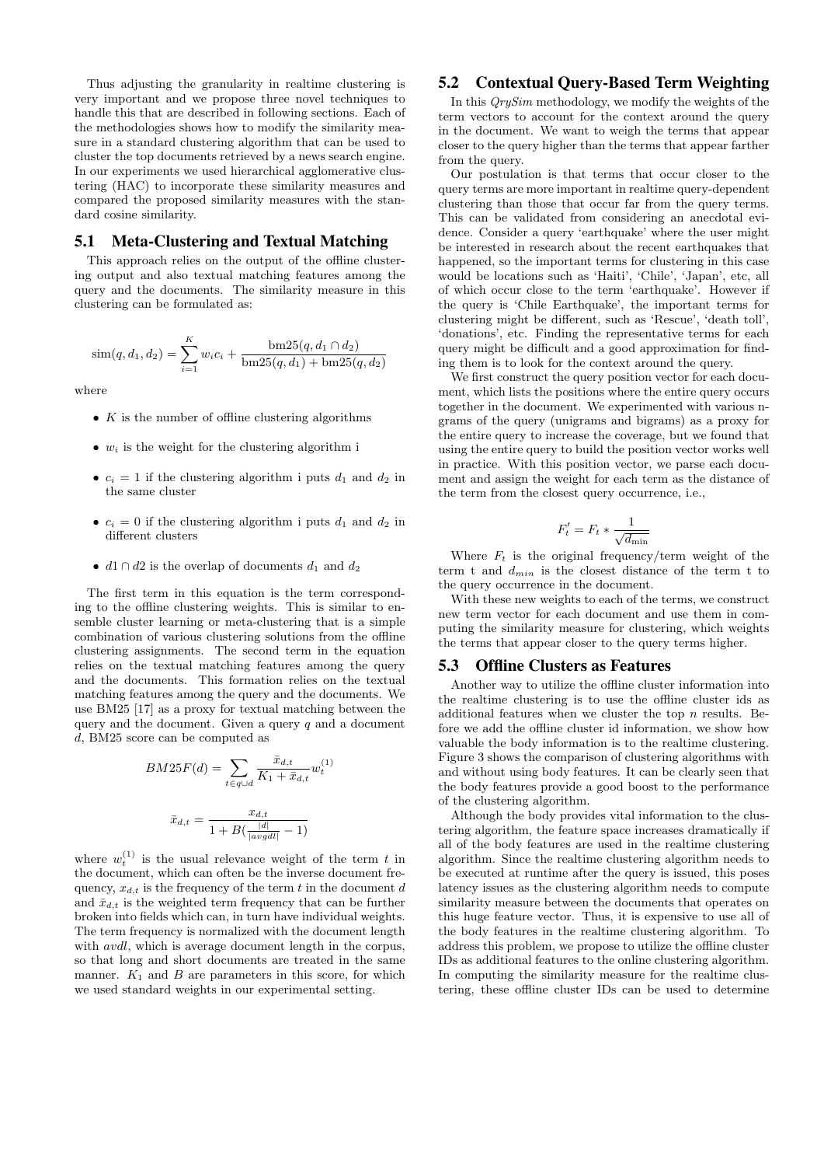Thus adjusting the granularity in realtime clustering is very important and we propose three novel techniques to handle this that are described in following sections. Each of the methodologies shows how to modify the similarity measure in a standard clustering algorithm that can be used to cluster the top documents retrieved by a news search engine. In our experiments we used hierarchical agglomerative clustering (HAC) to incorporate these similarity measures and compared the proposed similarity measures with the standard cosine similarity.

## 5.1 Meta-Clustering and Textual Matching

This approach relies on the output of the offline clustering output and also textual matching features among the query and the documents. The similarity measure in this clustering can be formulated as:

$$
\text{sim}(q, d_1, d_2) = \sum_{i=1}^{K} w_i c_i + \frac{\text{bm25}(q, d_1 \cap d_2)}{\text{bm25}(q, d_1) + \text{bm25}(q, d_2)}
$$

where

- $K$  is the number of offline clustering algorithms
- $w_i$  is the weight for the clustering algorithm i
- $c_i = 1$  if the clustering algorithm i puts  $d_1$  and  $d_2$  in the same cluster
- $c_i = 0$  if the clustering algorithm i puts  $d_1$  and  $d_2$  in different clusters
- $d_1 \cap d_2$  is the overlap of documents  $d_1$  and  $d_2$

The first term in this equation is the term corresponding to the offline clustering weights. This is similar to ensemble cluster learning or meta-clustering that is a simple combination of various clustering solutions from the offline clustering assignments. The second term in the equation relies on the textual matching features among the query and the documents. This formation relies on the textual matching features among the query and the documents. We use BM25 [17] as a proxy for textual matching between the query and the document. Given a query  $q$  and a document d, BM25 score can be computed as

$$
BM25F(d) = \sum_{t \in q \cup d} \frac{\bar{x}_{d,t}}{K_1 + \bar{x}_{d,t}} w_t^{(1)}
$$

$$
\bar{x}_{d,t} = \frac{x_{d,t}}{1 + B\left(\frac{|d|}{\log d t}\right) - 1}
$$

where  $w_t^{(1)}$  is the usual relevance weight of the term t in the document, which can often be the inverse document frequency,  $x_{d,t}$  is the frequency of the term t in the document d and  $\bar{x}_{d,t}$  is the weighted term frequency that can be further broken into fields which can, in turn have individual weights. The term frequency is normalized with the document length with *avdl*, which is average document length in the corpus, so that long and short documents are treated in the same manner.  $K_1$  and  $B$  are parameters in this score, for which we used standard weights in our experimental setting.

## 5.2 Contextual Query-Based Term Weighting

In this QrySim methodology, we modify the weights of the term vectors to account for the context around the query in the document. We want to weigh the terms that appear closer to the query higher than the terms that appear farther from the query.

Our postulation is that terms that occur closer to the query terms are more important in realtime query-dependent clustering than those that occur far from the query terms. This can be validated from considering an anecdotal evidence. Consider a query 'earthquake' where the user might be interested in research about the recent earthquakes that happened, so the important terms for clustering in this case would be locations such as 'Haiti', 'Chile', 'Japan', etc, all of which occur close to the term 'earthquake'. However if the query is 'Chile Earthquake', the important terms for clustering might be different, such as 'Rescue', 'death toll', 'donations', etc. Finding the representative terms for each query might be difficult and a good approximation for finding them is to look for the context around the query.

We first construct the query position vector for each document, which lists the positions where the entire query occurs together in the document. We experimented with various ngrams of the query (unigrams and bigrams) as a proxy for the entire query to increase the coverage, but we found that using the entire query to build the position vector works well in practice. With this position vector, we parse each document and assign the weight for each term as the distance of the term from the closest query occurrence, i.e.,

$$
F_t' = F_t * \frac{1}{\sqrt{d_{\min}}}
$$

Where  $F_t$  is the original frequency/term weight of the term t and  $d_{min}$  is the closest distance of the term t to the query occurrence in the document.

With these new weights to each of the terms, we construct new term vector for each document and use them in computing the similarity measure for clustering, which weights the terms that appear closer to the query terms higher.

#### 5.3 Offline Clusters as Features

Another way to utilize the offline cluster information into the realtime clustering is to use the offline cluster ids as additional features when we cluster the top  $n$  results. Before we add the offline cluster id information, we show how valuable the body information is to the realtime clustering. Figure 3 shows the comparison of clustering algorithms with and without using body features. It can be clearly seen that the body features provide a good boost to the performance of the clustering algorithm.

Although the body provides vital information to the clustering algorithm, the feature space increases dramatically if all of the body features are used in the realtime clustering algorithm. Since the realtime clustering algorithm needs to be executed at runtime after the query is issued, this poses latency issues as the clustering algorithm needs to compute similarity measure between the documents that operates on this huge feature vector. Thus, it is expensive to use all of the body features in the realtime clustering algorithm. To address this problem, we propose to utilize the offline cluster IDs as additional features to the online clustering algorithm. In computing the similarity measure for the realtime clustering, these offline cluster IDs can be used to determine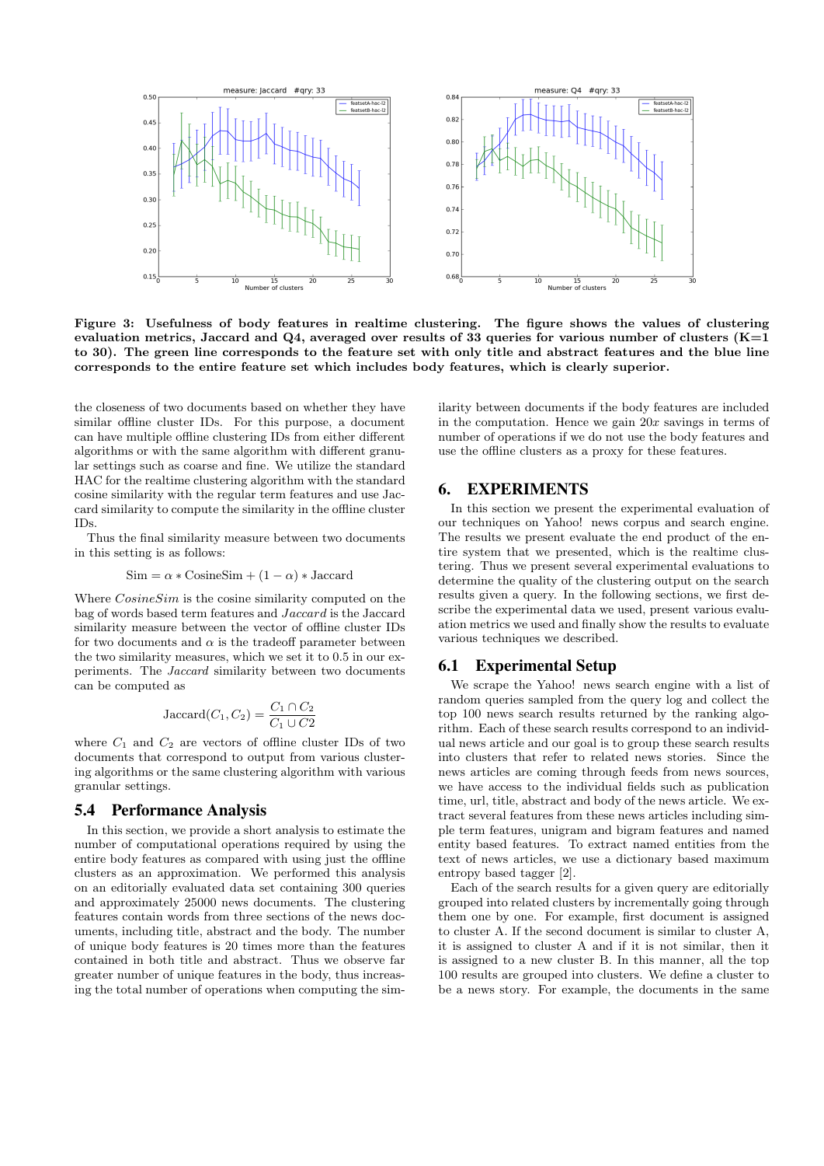

Figure 3: Usefulness of body features in realtime clustering. The figure shows the values of clustering evaluation metrics, Jaccard and  $Q_4$ , averaged over results of 33 queries for various number of clusters (K=1 to 30). The green line corresponds to the feature set with only title and abstract features and the blue line corresponds to the entire feature set which includes body features, which is clearly superior.

the closeness of two documents based on whether they have similar offline cluster IDs. For this purpose, a document can have multiple offline clustering IDs from either different algorithms or with the same algorithm with different granular settings such as coarse and fine. We utilize the standard HAC for the realtime clustering algorithm with the standard cosine similarity with the regular term features and use Jaccard similarity to compute the similarity in the offline cluster IDs.

Thus the final similarity measure between two documents in this setting is as follows:

$$
Sim = \alpha * CosineSim + (1 - \alpha) * Jaccard
$$

Where  $CosineSim$  is the cosine similarity computed on the bag of words based term features and Jaccard is the Jaccard similarity measure between the vector of offline cluster IDs for two documents and  $\alpha$  is the tradeoff parameter between the two similarity measures, which we set it to 0.5 in our experiments. The Jaccard similarity between two documents can be computed as

$$
\text{Jaccard}(C_1, C_2) = \frac{C_1 \cap C_2}{C_1 \cup C_2}
$$

where  $C_1$  and  $C_2$  are vectors of offline cluster IDs of two documents that correspond to output from various clustering algorithms or the same clustering algorithm with various granular settings.

#### 5.4 Performance Analysis

In this section, we provide a short analysis to estimate the number of computational operations required by using the entire body features as compared with using just the offline clusters as an approximation. We performed this analysis on an editorially evaluated data set containing 300 queries and approximately 25000 news documents. The clustering features contain words from three sections of the news documents, including title, abstract and the body. The number of unique body features is 20 times more than the features contained in both title and abstract. Thus we observe far greater number of unique features in the body, thus increasing the total number of operations when computing the similarity between documents if the body features are included in the computation. Hence we gain  $20x$  savings in terms of number of operations if we do not use the body features and use the offline clusters as a proxy for these features.

#### 6. EXPERIMENTS

In this section we present the experimental evaluation of our techniques on Yahoo! news corpus and search engine. The results we present evaluate the end product of the entire system that we presented, which is the realtime clustering. Thus we present several experimental evaluations to determine the quality of the clustering output on the search results given a query. In the following sections, we first describe the experimental data we used, present various evaluation metrics we used and finally show the results to evaluate various techniques we described.

#### 6.1 Experimental Setup

We scrape the Yahoo! news search engine with a list of random queries sampled from the query log and collect the top 100 news search results returned by the ranking algorithm. Each of these search results correspond to an individual news article and our goal is to group these search results into clusters that refer to related news stories. Since the news articles are coming through feeds from news sources, we have access to the individual fields such as publication time, url, title, abstract and body of the news article. We extract several features from these news articles including simple term features, unigram and bigram features and named entity based features. To extract named entities from the text of news articles, we use a dictionary based maximum entropy based tagger [2].

Each of the search results for a given query are editorially grouped into related clusters by incrementally going through them one by one. For example, first document is assigned to cluster A. If the second document is similar to cluster A, it is assigned to cluster A and if it is not similar, then it is assigned to a new cluster B. In this manner, all the top 100 results are grouped into clusters. We define a cluster to be a news story. For example, the documents in the same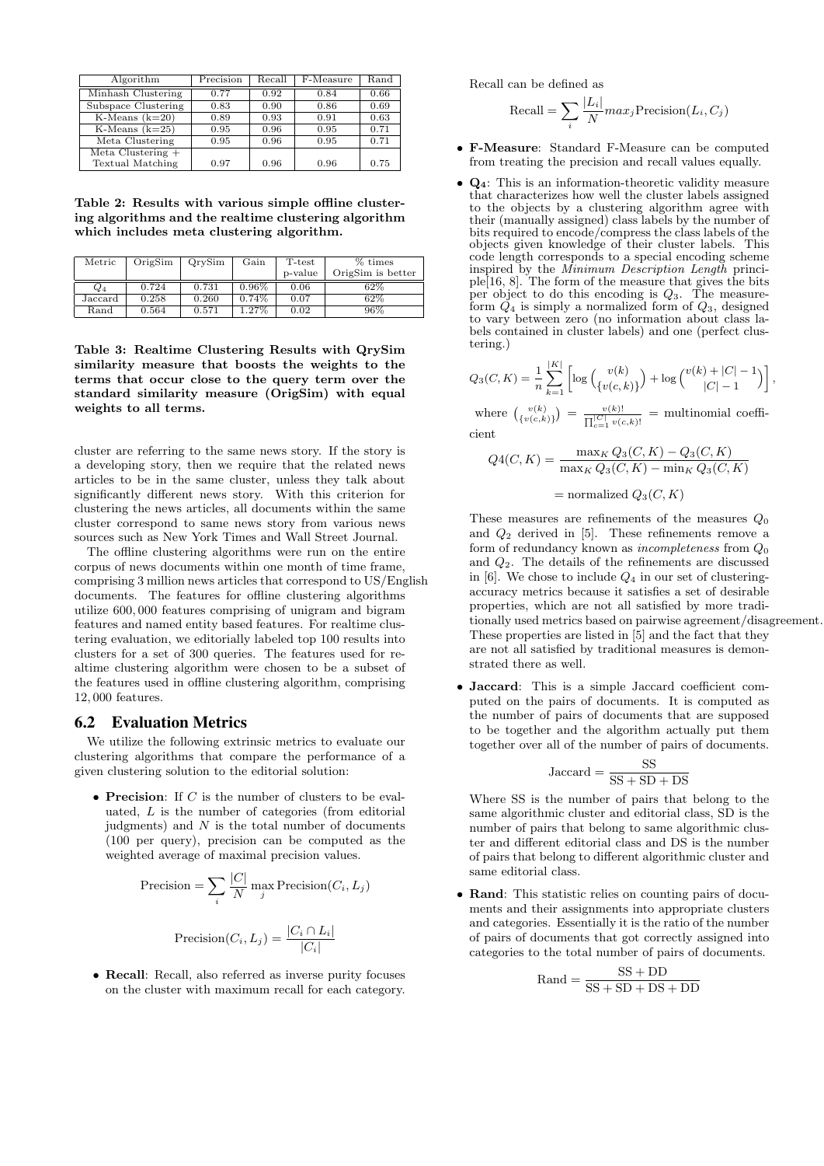| Algorithm           | Precision | Recall | F-Measure | Rand |
|---------------------|-----------|--------|-----------|------|
| Minhash Clustering  | 0.77      | 0.92   | 0.84      | 0.66 |
| Subspace Clustering | 0.83      | 0.90   | 0.86      | 0.69 |
| K-Means $(k=20)$    | 0.89      | 0.93   | 0.91      | 0.63 |
| K-Means $(k=25)$    | 0.95      | 0.96   | 0.95      | 0.71 |
| Meta Clustering     | 0.95      | 0.96   | 0.95      | 0.71 |
| Meta Clustering $+$ |           |        |           |      |
| Textual Matching    | 0.97      | 0.96   | 0.96      | 0.75 |

Table 2: Results with various simple offline clustering algorithms and the realtime clustering algorithm which includes meta clustering algorithm.

| Metric  | OrigSim | OrvSim | Gain     | T-test    | $%$ times         |
|---------|---------|--------|----------|-----------|-------------------|
|         |         |        |          | p-value   | OrigSim is better |
| $Q_4$   | 0.724   | 0.731  | $0.96\%$ | 0.06      | $62\%$            |
| Jaccard | 0.258   | 0.260  | 0.74%    | 0.07      | 62%               |
| Rand    | 0.564   | 0.571  | $1.27\%$ | $_{0.02}$ | 96%               |

Table 3: Realtime Clustering Results with QrySim similarity measure that boosts the weights to the terms that occur close to the query term over the standard similarity measure (OrigSim) with equal weights to all terms.

cluster are referring to the same news story. If the story is a developing story, then we require that the related news articles to be in the same cluster, unless they talk about significantly different news story. With this criterion for clustering the news articles, all documents within the same cluster correspond to same news story from various news sources such as New York Times and Wall Street Journal.

The offline clustering algorithms were run on the entire corpus of news documents within one month of time frame, comprising 3 million news articles that correspond to US/English documents. The features for offline clustering algorithms utilize 600, 000 features comprising of unigram and bigram features and named entity based features. For realtime clustering evaluation, we editorially labeled top 100 results into clusters for a set of 300 queries. The features used for realtime clustering algorithm were chosen to be a subset of the features used in offline clustering algorithm, comprising 12, 000 features.

#### 6.2 Evaluation Metrics

We utilize the following extrinsic metrics to evaluate our clustering algorithms that compare the performance of a given clustering solution to the editorial solution:

• Precision: If  $C$  is the number of clusters to be evaluated, L is the number of categories (from editorial judgments) and  $N$  is the total number of documents (100 per query), precision can be computed as the weighted average of maximal precision values.

$$
\text{Precision} = \sum_{i} \frac{|C|}{N} \max_{j} \text{Precision}(C_i, L_j)
$$
\n
$$
\text{Precision}(C_i, L_j) = \frac{|C_i \cap L_i|}{|C_i|}
$$

• Recall: Recall, also referred as inverse purity focuses on the cluster with maximum recall for each category. Recall can be defined as

Recall = 
$$
\sum_{i} \frac{|L_i|}{N} max_j \text{Precision}(L_i, C_j)
$$

- F-Measure: Standard F-Measure can be computed from treating the precision and recall values equally.
- Q4: This is an information-theoretic validity measure that characterizes how well the cluster labels assigned to the objects by a clustering algorithm agree with their (manually assigned) class labels by the number of bits required to encode/compress the class labels of the objects given knowledge of their cluster labels. This code length corresponds to a special encoding scheme inspired by the Minimum Description Length principle[16, 8]. The form of the measure that gives the bits per object to do this encoding is  $Q_3$ . The measureform  $\tilde{Q}_4$  is simply a normalized form of  $Q_3$ , designed to vary between zero (no information about class labels contained in cluster labels) and one (perfect clustering.)

$$
Q_3(C, K) = \frac{1}{n} \sum_{k=1}^{|K|} \left[ \log \binom{v(k)}{\{v(c, k)\}} + \log \binom{v(k) + |C| - 1}{|C| - 1} \right],
$$

where  $\binom{v(k)}{v(c,k)} = \frac{v(k)!}{\prod_{c=1}^{|C|} v(c,k)!}$  = multinomial coefficient

$$
Q4(C, K) = \frac{\max_{K} Q_3(C, K) - Q_3(C, K)}{\max_{K} Q_3(C, K) - \min_{K} Q_3(C, K)}
$$

 $=$  normalized  $Q_3(C, K)$ 

These measures are refinements of the measures  $Q_0$ and  $Q_2$  derived in [5]. These refinements remove a form of redundancy known as *incompleteness* from  $Q_0$ and  $Q_2$ . The details of the refinements are discussed in [6]. We chose to include  $Q_4$  in our set of clusteringaccuracy metrics because it satisfies a set of desirable properties, which are not all satisfied by more traditionally used metrics based on pairwise agreement/disagreement. These properties are listed in [5] and the fact that they are not all satisfied by traditional measures is demonstrated there as well.

• Jaccard: This is a simple Jaccard coefficient computed on the pairs of documents. It is computed as the number of pairs of documents that are supposed to be together and the algorithm actually put them together over all of the number of pairs of documents.

$$
Jaccard = \frac{SS}{SS + SD + DS}
$$

Where SS is the number of pairs that belong to the same algorithmic cluster and editorial class, SD is the number of pairs that belong to same algorithmic cluster and different editorial class and DS is the number of pairs that belong to different algorithmic cluster and same editorial class.

• Rand: This statistic relies on counting pairs of documents and their assignments into appropriate clusters and categories. Essentially it is the ratio of the number of pairs of documents that got correctly assigned into categories to the total number of pairs of documents.

$$
Rand = \frac{SS + DD}{SS + SD + DS + DD}
$$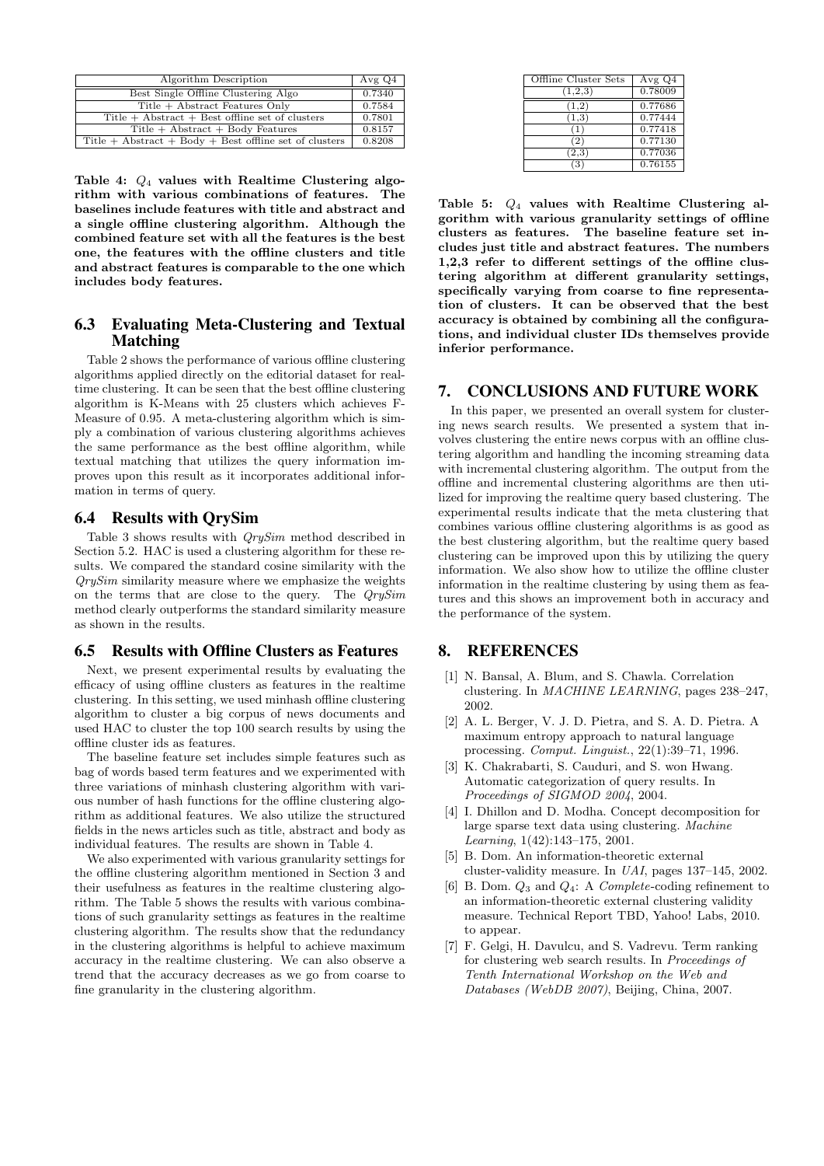| Algorithm Description                                    | Avg $Q4$ |
|----------------------------------------------------------|----------|
| Best Single Offline Clustering Algo                      | 0.7340   |
| $Title + Abstract Features Only$                         | 0.7584   |
| Title $+$ Abstract $+$ Best offline set of clusters      | 0.7801   |
| $Title + Abstract + Body Features$                       | 0.8157   |
| Title + $Abstract + Body + Best$ offline set of clusters | 0.8208   |

Table 4:  $Q_4$  values with Realtime Clustering algorithm with various combinations of features. The baselines include features with title and abstract and a single offline clustering algorithm. Although the combined feature set with all the features is the best one, the features with the offline clusters and title and abstract features is comparable to the one which includes body features.

## 6.3 Evaluating Meta-Clustering and Textual Matching

Table 2 shows the performance of various offline clustering algorithms applied directly on the editorial dataset for realtime clustering. It can be seen that the best offline clustering algorithm is K-Means with 25 clusters which achieves F-Measure of 0.95. A meta-clustering algorithm which is simply a combination of various clustering algorithms achieves the same performance as the best offline algorithm, while textual matching that utilizes the query information improves upon this result as it incorporates additional information in terms of query.

## 6.4 Results with QrySim

Table 3 shows results with QrySim method described in Section 5.2. HAC is used a clustering algorithm for these results. We compared the standard cosine similarity with the QrySim similarity measure where we emphasize the weights on the terms that are close to the query. The QrySim method clearly outperforms the standard similarity measure as shown in the results.

### 6.5 Results with Offline Clusters as Features

Next, we present experimental results by evaluating the efficacy of using offline clusters as features in the realtime clustering. In this setting, we used minhash offline clustering algorithm to cluster a big corpus of news documents and used HAC to cluster the top 100 search results by using the offline cluster ids as features.

The baseline feature set includes simple features such as bag of words based term features and we experimented with three variations of minhash clustering algorithm with various number of hash functions for the offline clustering algorithm as additional features. We also utilize the structured fields in the news articles such as title, abstract and body as individual features. The results are shown in Table 4.

We also experimented with various granularity settings for the offline clustering algorithm mentioned in Section 3 and their usefulness as features in the realtime clustering algorithm. The Table 5 shows the results with various combinations of such granularity settings as features in the realtime clustering algorithm. The results show that the redundancy in the clustering algorithms is helpful to achieve maximum accuracy in the realtime clustering. We can also observe a trend that the accuracy decreases as we go from coarse to fine granularity in the clustering algorithm.

| Offline Cluster Sets | Avg $Q4$ |
|----------------------|----------|
| (1,2,3)              | 0.78009  |
| (1,2)                | 0.77686  |
| 1.3                  | 0.77444  |
|                      | 0.77418  |
| $\cdot 2 \cdot$      | 0.77130  |
| $\left(2.3\right)$   | 0.77036  |
| 3                    | 0.76155  |

Table 5: Q<sup>4</sup> values with Realtime Clustering algorithm with various granularity settings of offline clusters as features. The baseline feature set includes just title and abstract features. The numbers 1,2,3 refer to different settings of the offline clustering algorithm at different granularity settings, specifically varying from coarse to fine representation of clusters. It can be observed that the best accuracy is obtained by combining all the configurations, and individual cluster IDs themselves provide inferior performance.

#### 7. CONCLUSIONS AND FUTURE WORK

In this paper, we presented an overall system for clustering news search results. We presented a system that involves clustering the entire news corpus with an offline clustering algorithm and handling the incoming streaming data with incremental clustering algorithm. The output from the offline and incremental clustering algorithms are then utilized for improving the realtime query based clustering. The experimental results indicate that the meta clustering that combines various offline clustering algorithms is as good as the best clustering algorithm, but the realtime query based clustering can be improved upon this by utilizing the query information. We also show how to utilize the offline cluster information in the realtime clustering by using them as features and this shows an improvement both in accuracy and the performance of the system.

# 8. REFERENCES

- [1] N. Bansal, A. Blum, and S. Chawla. Correlation clustering. In MACHINE LEARNING, pages 238–247, 2002.
- [2] A. L. Berger, V. J. D. Pietra, and S. A. D. Pietra. A maximum entropy approach to natural language processing. Comput. Linguist., 22(1):39–71, 1996.
- [3] K. Chakrabarti, S. Cauduri, and S. won Hwang. Automatic categorization of query results. In Proceedings of SIGMOD 2004, 2004.
- [4] I. Dhillon and D. Modha. Concept decomposition for large sparse text data using clustering. Machine Learning, 1(42):143–175, 2001.
- [5] B. Dom. An information-theoretic external cluster-validity measure. In UAI, pages 137–145, 2002.
- [6] B. Dom.  $Q_3$  and  $Q_4$ : A *Complete*-coding refinement to an information-theoretic external clustering validity measure. Technical Report TBD, Yahoo! Labs, 2010. to appear.
- [7] F. Gelgi, H. Davulcu, and S. Vadrevu. Term ranking for clustering web search results. In Proceedings of Tenth International Workshop on the Web and Databases (WebDB 2007), Beijing, China, 2007.